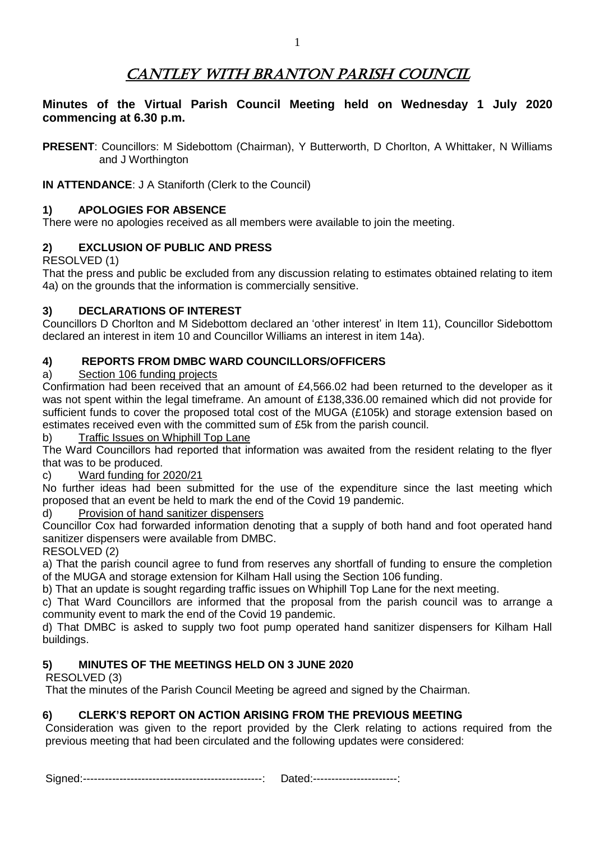# CANTLEY WITH BRANTON PARISH COUNCIL

# **Minutes of the Virtual Parish Council Meeting held on Wednesday 1 July 2020 commencing at 6.30 p.m.**

**PRESENT**: Councillors: M Sidebottom (Chairman), Y Butterworth, D Chorlton, A Whittaker, N Williams and J Worthington

**IN ATTENDANCE**: J A Staniforth (Clerk to the Council)

#### **1) APOLOGIES FOR ABSENCE**

There were no apologies received as all members were available to join the meeting.

# **2) EXCLUSION OF PUBLIC AND PRESS**

RESOLVED (1)

That the press and public be excluded from any discussion relating to estimates obtained relating to item 4a) on the grounds that the information is commercially sensitive.

#### **3) DECLARATIONS OF INTEREST**

Councillors D Chorlton and M Sidebottom declared an 'other interest' in Item 11), Councillor Sidebottom declared an interest in item 10 and Councillor Williams an interest in item 14a).

# **4) REPORTS FROM DMBC WARD COUNCILLORS/OFFICERS**

#### a) Section 106 funding projects

Confirmation had been received that an amount of £4,566.02 had been returned to the developer as it was not spent within the legal timeframe. An amount of £138,336.00 remained which did not provide for sufficient funds to cover the proposed total cost of the MUGA (£105k) and storage extension based on estimates received even with the committed sum of £5k from the parish council.

b) Traffic Issues on Whiphill Top Lane

The Ward Councillors had reported that information was awaited from the resident relating to the flyer that was to be produced.

# c) Ward funding for 2020/21

No further ideas had been submitted for the use of the expenditure since the last meeting which proposed that an event be held to mark the end of the Covid 19 pandemic.

#### d) Provision of hand sanitizer dispensers

Councillor Cox had forwarded information denoting that a supply of both hand and foot operated hand sanitizer dispensers were available from DMBC.

#### RESOLVED (2)

a) That the parish council agree to fund from reserves any shortfall of funding to ensure the completion of the MUGA and storage extension for Kilham Hall using the Section 106 funding.

b) That an update is sought regarding traffic issues on Whiphill Top Lane for the next meeting.

c) That Ward Councillors are informed that the proposal from the parish council was to arrange a community event to mark the end of the Covid 19 pandemic.

d) That DMBC is asked to supply two foot pump operated hand sanitizer dispensers for Kilham Hall buildings.

# **5) MINUTES OF THE MEETINGS HELD ON 3 JUNE 2020**

RESOLVED (3)

That the minutes of the Parish Council Meeting be agreed and signed by the Chairman.

# **6) CLERK'S REPORT ON ACTION ARISING FROM THE PREVIOUS MEETING**

Consideration was given to the report provided by the Clerk relating to actions required from the previous meeting that had been circulated and the following updates were considered: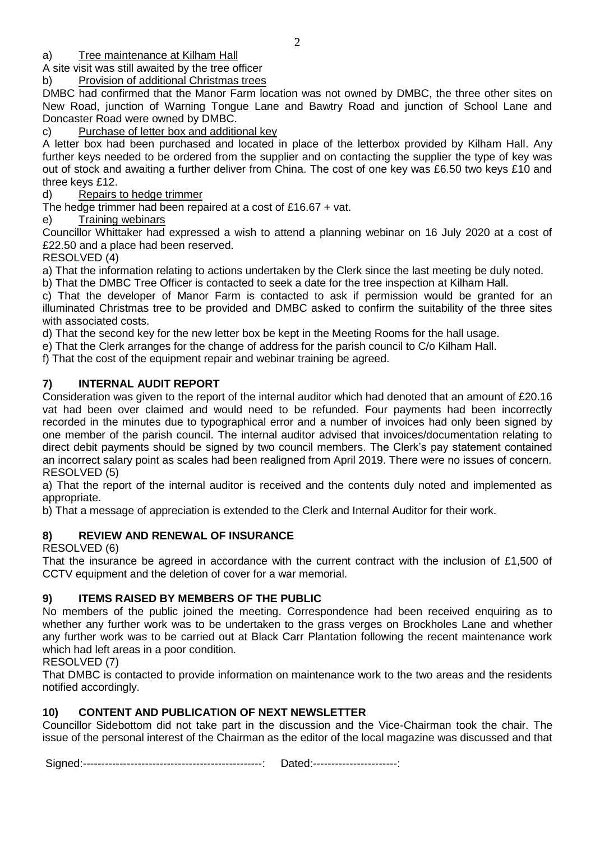a) Tree maintenance at Kilham Hall

A site visit was still awaited by the tree officer

b) Provision of additional Christmas trees

DMBC had confirmed that the Manor Farm location was not owned by DMBC, the three other sites on New Road, junction of Warning Tongue Lane and Bawtry Road and junction of School Lane and Doncaster Road were owned by DMBC.

c) Purchase of letter box and additional key

A letter box had been purchased and located in place of the letterbox provided by Kilham Hall. Any further keys needed to be ordered from the supplier and on contacting the supplier the type of key was out of stock and awaiting a further deliver from China. The cost of one key was £6.50 two keys £10 and three keys £12.

#### d) Repairs to hedge trimmer

The hedge trimmer had been repaired at a cost of £16.67 + vat.

#### e) Training webinars

Councillor Whittaker had expressed a wish to attend a planning webinar on 16 July 2020 at a cost of £22.50 and a place had been reserved.

RESOLVED (4)

a) That the information relating to actions undertaken by the Clerk since the last meeting be duly noted.

b) That the DMBC Tree Officer is contacted to seek a date for the tree inspection at Kilham Hall.

c) That the developer of Manor Farm is contacted to ask if permission would be granted for an illuminated Christmas tree to be provided and DMBC asked to confirm the suitability of the three sites with associated costs.

d) That the second key for the new letter box be kept in the Meeting Rooms for the hall usage.

e) That the Clerk arranges for the change of address for the parish council to C/o Kilham Hall.

f) That the cost of the equipment repair and webinar training be agreed.

# **7) INTERNAL AUDIT REPORT**

Consideration was given to the report of the internal auditor which had denoted that an amount of £20.16 vat had been over claimed and would need to be refunded. Four payments had been incorrectly recorded in the minutes due to typographical error and a number of invoices had only been signed by one member of the parish council. The internal auditor advised that invoices/documentation relating to direct debit payments should be signed by two council members. The Clerk's pay statement contained an incorrect salary point as scales had been realigned from April 2019. There were no issues of concern. RESOLVED (5)

a) That the report of the internal auditor is received and the contents duly noted and implemented as appropriate.

b) That a message of appreciation is extended to the Clerk and Internal Auditor for their work.

# **8) REVIEW AND RENEWAL OF INSURANCE**

RESOLVED (6)

That the insurance be agreed in accordance with the current contract with the inclusion of £1,500 of CCTV equipment and the deletion of cover for a war memorial.

# **9) ITEMS RAISED BY MEMBERS OF THE PUBLIC**

No members of the public joined the meeting. Correspondence had been received enquiring as to whether any further work was to be undertaken to the grass verges on Brockholes Lane and whether any further work was to be carried out at Black Carr Plantation following the recent maintenance work which had left areas in a poor condition.

RESOLVED (7)

That DMBC is contacted to provide information on maintenance work to the two areas and the residents notified accordingly.

# **10) CONTENT AND PUBLICATION OF NEXT NEWSLETTER**

Councillor Sidebottom did not take part in the discussion and the Vice-Chairman took the chair. The issue of the personal interest of the Chairman as the editor of the local magazine was discussed and that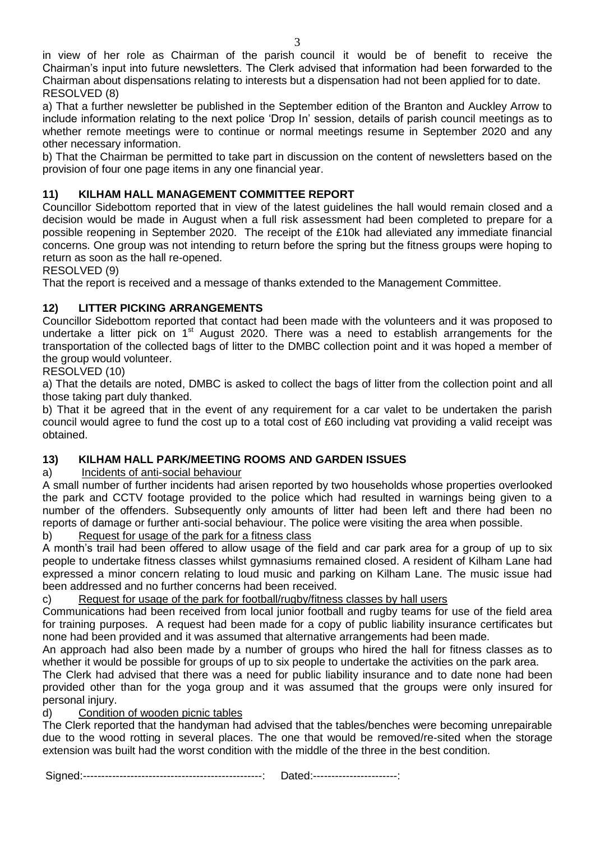3 in view of her role as Chairman of the parish council it would be of benefit to receive the Chairman's input into future newsletters. The Clerk advised that information had been forwarded to the Chairman about dispensations relating to interests but a dispensation had not been applied for to date. RESOLVED (8)

a) That a further newsletter be published in the September edition of the Branton and Auckley Arrow to include information relating to the next police 'Drop In' session, details of parish council meetings as to whether remote meetings were to continue or normal meetings resume in September 2020 and any other necessary information.

b) That the Chairman be permitted to take part in discussion on the content of newsletters based on the provision of four one page items in any one financial year.

# **11) KILHAM HALL MANAGEMENT COMMITTEE REPORT**

Councillor Sidebottom reported that in view of the latest guidelines the hall would remain closed and a decision would be made in August when a full risk assessment had been completed to prepare for a possible reopening in September 2020. The receipt of the £10k had alleviated any immediate financial concerns. One group was not intending to return before the spring but the fitness groups were hoping to return as soon as the hall re-opened.

RESOLVED (9)

That the report is received and a message of thanks extended to the Management Committee.

# **12) LITTER PICKING ARRANGEMENTS**

Councillor Sidebottom reported that contact had been made with the volunteers and it was proposed to undertake a litter pick on  $1<sup>st</sup>$  August 2020. There was a need to establish arrangements for the transportation of the collected bags of litter to the DMBC collection point and it was hoped a member of the group would volunteer.

RESOLVED (10)

a) That the details are noted, DMBC is asked to collect the bags of litter from the collection point and all those taking part duly thanked.

b) That it be agreed that in the event of any requirement for a car valet to be undertaken the parish council would agree to fund the cost up to a total cost of £60 including vat providing a valid receipt was obtained.

# **13) KILHAM HALL PARK/MEETING ROOMS AND GARDEN ISSUES**

a) Incidents of anti-social behaviour

A small number of further incidents had arisen reported by two households whose properties overlooked the park and CCTV footage provided to the police which had resulted in warnings being given to a number of the offenders. Subsequently only amounts of litter had been left and there had been no reports of damage or further anti-social behaviour. The police were visiting the area when possible.

#### b) Request for usage of the park for a fitness class

A month's trail had been offered to allow usage of the field and car park area for a group of up to six people to undertake fitness classes whilst gymnasiums remained closed. A resident of Kilham Lane had expressed a minor concern relating to loud music and parking on Kilham Lane. The music issue had been addressed and no further concerns had been received.

# c) Request for usage of the park for football/rugby/fitness classes by hall users

Communications had been received from local junior football and rugby teams for use of the field area for training purposes. A request had been made for a copy of public liability insurance certificates but none had been provided and it was assumed that alternative arrangements had been made.

An approach had also been made by a number of groups who hired the hall for fitness classes as to whether it would be possible for groups of up to six people to undertake the activities on the park area.

The Clerk had advised that there was a need for public liability insurance and to date none had been provided other than for the yoga group and it was assumed that the groups were only insured for personal injury.

# d) Condition of wooden picnic tables

The Clerk reported that the handyman had advised that the tables/benches were becoming unrepairable due to the wood rotting in several places. The one that would be removed/re-sited when the storage extension was built had the worst condition with the middle of the three in the best condition.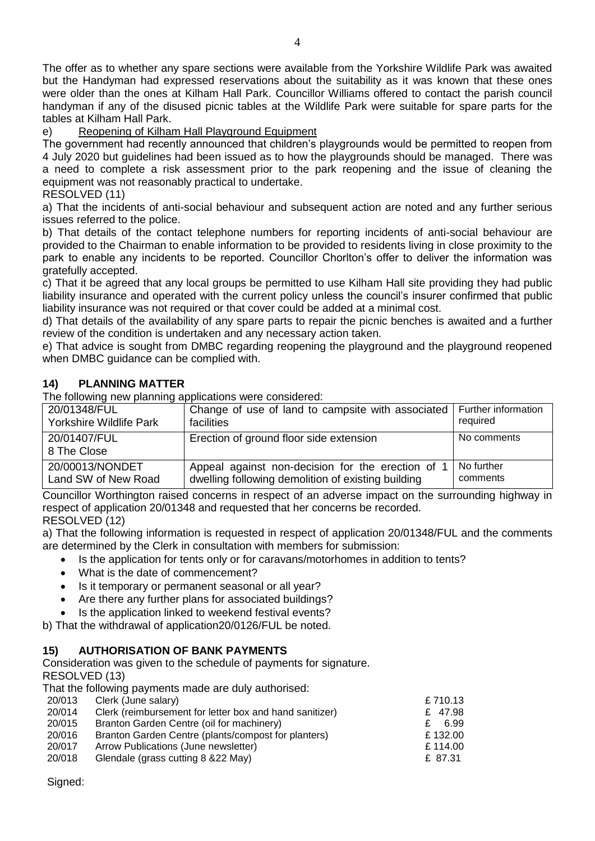The offer as to whether any spare sections were available from the Yorkshire Wildlife Park was awaited but the Handyman had expressed reservations about the suitability as it was known that these ones were older than the ones at Kilham Hall Park. Councillor Williams offered to contact the parish council handyman if any of the disused picnic tables at the Wildlife Park were suitable for spare parts for the tables at Kilham Hall Park.

e) Reopening of Kilham Hall Playground Equipment

The government had recently announced that children's playgrounds would be permitted to reopen from 4 July 2020 but guidelines had been issued as to how the playgrounds should be managed. There was a need to complete a risk assessment prior to the park reopening and the issue of cleaning the equipment was not reasonably practical to undertake.

RESOLVED (11)

a) That the incidents of anti-social behaviour and subsequent action are noted and any further serious issues referred to the police.

b) That details of the contact telephone numbers for reporting incidents of anti-social behaviour are provided to the Chairman to enable information to be provided to residents living in close proximity to the park to enable any incidents to be reported. Councillor Chorlton's offer to deliver the information was gratefully accepted.

c) That it be agreed that any local groups be permitted to use Kilham Hall site providing they had public liability insurance and operated with the current policy unless the council's insurer confirmed that public liability insurance was not required or that cover could be added at a minimal cost.

d) That details of the availability of any spare parts to repair the picnic benches is awaited and a further review of the condition is undertaken and any necessary action taken.

e) That advice is sought from DMBC regarding reopening the playground and the playground reopened when DMBC quidance can be complied with.

#### **14) PLANNING MATTER**

The following new planning applications were considered:

| 20/01348/FUL                | Change of use of land to campsite with associated  | Further information |
|-----------------------------|----------------------------------------------------|---------------------|
| Yorkshire Wildlife Park     | facilities                                         | required            |
| 20/01407/FUL<br>8 The Close | Erection of ground floor side extension            | No comments         |
| 20/00013/NONDET             | Appeal against non-decision for the erection of 1  | No further          |
| Land SW of New Road         | dwelling following demolition of existing building | comments            |

Councillor Worthington raised concerns in respect of an adverse impact on the surrounding highway in respect of application 20/01348 and requested that her concerns be recorded.

RESOLVED (12)

a) That the following information is requested in respect of application 20/01348/FUL and the comments are determined by the Clerk in consultation with members for submission:

- Is the application for tents only or for caravans/motorhomes in addition to tents?
- What is the date of commencement?
- Is it temporary or permanent seasonal or all year?
- Are there any further plans for associated buildings?
- Is the application linked to weekend festival events?

b) That the withdrawal of application20/0126/FUL be noted.

# **15) AUTHORISATION OF BANK PAYMENTS**

Consideration was given to the schedule of payments for signature.

RESOLVED (13)

That the following payments made are duly authorised:

20/013 Clerk (June salary) £ 710.13

| 20/014 | Clerk (reimbursement for letter box and hand sanitizer) | £ 47.98  |
|--------|---------------------------------------------------------|----------|
| 20/015 | Branton Garden Centre (oil for machinery)               | 6.99     |
| 20/016 | Branton Garden Centre (plants/compost for planters)     | £132.00  |
| 20/017 | Arrow Publications (June newsletter)                    | £ 114.00 |
| 20/018 | Glendale (grass cutting 8 & 22 May)                     | £ 87.31  |
|        |                                                         |          |

Signed: